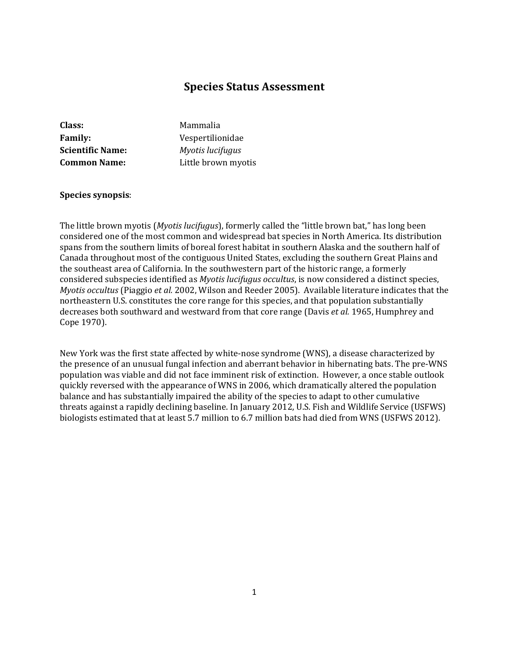# **Species Status Assessment**

| <b>Class:</b>           | Mammalia            |
|-------------------------|---------------------|
| <b>Family:</b>          | Vespertilionidae    |
| <b>Scientific Name:</b> | Myotis lucifugus    |
| <b>Common Name:</b>     | Little brown myotis |

#### **Species synopsis**:

The little brown myotis (*Myotis lucifugus*), formerly called the "little brown bat," has long been considered one of the most common and widespread bat species in North America. Its distribution spans from the southern limits of boreal forest habitat in southern Alaska and the southern half of Canada throughout most of the contiguous United States, excluding the southern Great Plains and the southeast area of California. In the southwestern part of the historic range, a formerly considered subspecies identified as *Myotis lucifugus occultus*, is now considered a distinct species, *Myotis occultus* (Piaggio *et al.* 2002, Wilson and Reeder 2005). Available literature indicates that the northeastern U.S. constitutes the core range for this species, and that population substantially decreases both southward and westward from that core range (Davis *et al.* 1965, Humphrey and Cope 1970).

New York was the first state affected by white-nose syndrome (WNS), a disease characterized by the presence of an unusual fungal infection and aberrant behavior in hibernating bats. The pre-WNS population was viable and did not face imminent risk of extinction. However, a once stable outlook quickly reversed with the appearance of WNS in 2006, which dramatically altered the population balance and has substantially impaired the ability of the species to adapt to other cumulative threats against a rapidly declining baseline. In January 2012, U.S. Fish and Wildlife Service (USFWS) biologists estimated that at least 5.7 million to 6.7 million bats had died from WNS (USFWS 2012).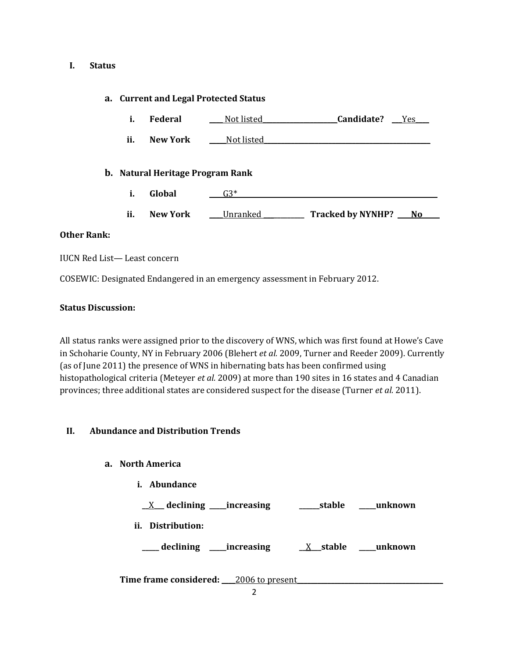## **I. Status**

## **a. Current and Legal Protected Status**

| Federal | Not listed | Candidate? | Yes |
|---------|------------|------------|-----|
|         |            |            |     |

**ii. New York Not listed** 

## **b. Natural Heritage Program Rank**

- **i. Global \_\_\_\_**G3\*\_\_\_\_\_\_\_\_\_\_\_\_\_\_\_\_\_\_\_\_\_\_\_\_\_\_\_\_\_\_\_\_\_\_\_\_\_\_\_\_\_\_\_\_\_\_\_\_\_\_\_\_\_\_\_\_\_\_\_
- ii. New York **Lunder Lunce Letter Letter Concrete Letter Ave**

## **Other Rank:**

IUCN Red List— Least concern

COSEWIC: Designated Endangered in an emergency assessment in February 2012.

## **Status Discussion:**

All status ranks were assigned prior to the discovery of WNS, which was first found at Howe's Cave in Schoharie County, NY in February 2006 (Blehert *et al.* 2009, Turner and Reeder 2009). Currently (as of June 2011) the presence of WNS in hibernating bats has been confirmed using histopathological criteria (Meteyer *et al.* 2009) at more than 190 sites in 16 states and 4 Canadian provinces; three additional states are considered suspect for the disease (Turner *et al.* 2011).

## **II. Abundance and Distribution Trends**

## **a. North America**

**i. Abundance**

**\_\_**X**\_\_\_ declining \_\_\_\_\_increasing \_\_\_\_\_\_stable \_\_\_\_\_unknown ii. Distribution: \_\_\_\_\_ declining \_\_\_\_\_increasing \_\_**X**\_\_\_stable \_\_\_\_\_unknown**

**Time frame considered: \_\_\_\_**2006 to present**\_\_\_\_\_\_\_\_\_\_\_\_\_\_\_\_\_\_\_\_\_\_\_\_\_\_\_\_\_\_\_\_\_\_\_\_\_\_\_\_\_\_\_**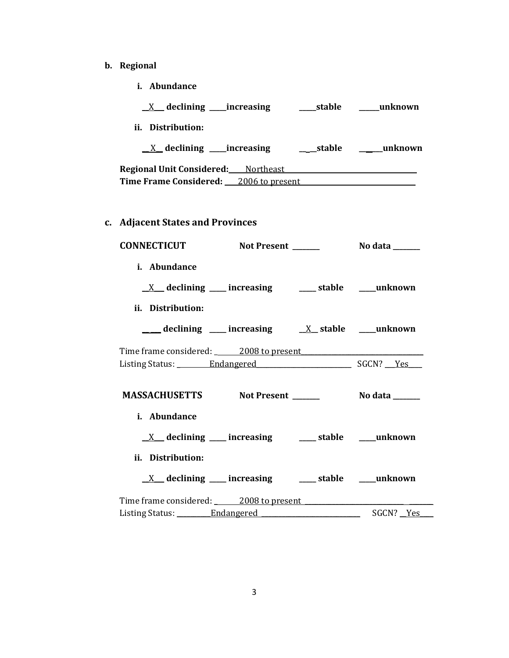- **b. Regional** 
	- **i. Abundance**

| ii. Distribution:                                                                       |                 |
|-----------------------------------------------------------------------------------------|-----------------|
| <u>X</u> declining ____increasing __________stable ________unknown                      |                 |
| Regional Unit Considered: Northeast Northeast                                           |                 |
| Time Frame Considered: 2006 to present                                                  |                 |
| c. Adjacent States and Provinces                                                        |                 |
| CONNECTICUT Not Present ______                                                          | No data _______ |
| i. Abundance                                                                            |                 |
| $\underline{X}$ declining ___ increasing ___ stable ___ unknown                         |                 |
| ii. Distribution:                                                                       |                 |
| $\frac{1}{\sqrt{1-\frac{1}{2}}}$ declining ____ increasing ____ X__ stable ____ unknown |                 |
| Time frame considered: 2008 to present                                                  |                 |
|                                                                                         |                 |
| MASSACHUSETTS Not Present ________ No data ______                                       |                 |
| i. Abundance                                                                            |                 |
| $\underline{X}$ declining ___ increasing ___ stable ___ unknown                         |                 |
| ii. Distribution:                                                                       |                 |
| <u>X</u> declining ___ increasing ___ stable ___ unknown                                |                 |
| Time frame considered: 2008 to present                                                  |                 |
| Listing Status: Endangered                                                              | SGCN? Yes       |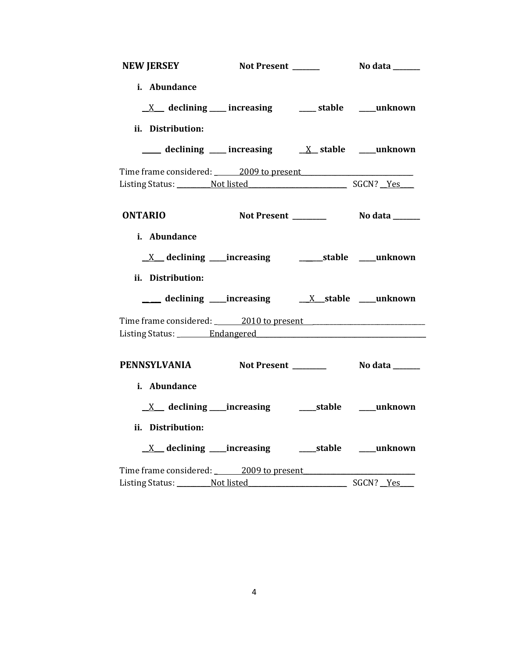| <b>NEW JERSEY</b>              | Not Present ______                                                                                                                                                      | No data _______ |
|--------------------------------|-------------------------------------------------------------------------------------------------------------------------------------------------------------------------|-----------------|
| i. Abundance                   | $X$ declining increasing $X$ stable $X$ unknown                                                                                                                         |                 |
| ii. Distribution:              |                                                                                                                                                                         |                 |
|                                | $\frac{1}{\sqrt{1-\frac{1}{2}}}$ declining $\frac{1}{\sqrt{1-\frac{1}{2}}}$ increasing $\frac{1}{\sqrt{1-\frac{1}{2}}}$ stable $\frac{1}{\sqrt{1-\frac{1}{2}}}$ unknown |                 |
|                                | Time frame considered: 2009 to present                                                                                                                                  |                 |
|                                | Listing Status: Not listed SGCN? Yes                                                                                                                                    |                 |
| <b>ONTARIO</b><br>i. Abundance |                                                                                                                                                                         |                 |
| ii. Distribution:              |                                                                                                                                                                         |                 |
|                                |                                                                                                                                                                         |                 |
|                                | Time frame considered: 2010 to present 2010 to present<br>Listing Status: _________ Endangered                                                                          |                 |
| i. Abundance                   | PENNSYLVANIA Not Present No data ______                                                                                                                                 |                 |
|                                |                                                                                                                                                                         |                 |
| ii. Distribution:              |                                                                                                                                                                         |                 |
|                                | Time frame considered: 2009 to present                                                                                                                                  |                 |
|                                | Listing Status: Not listed                                                                                                                                              | SGCN? Yes       |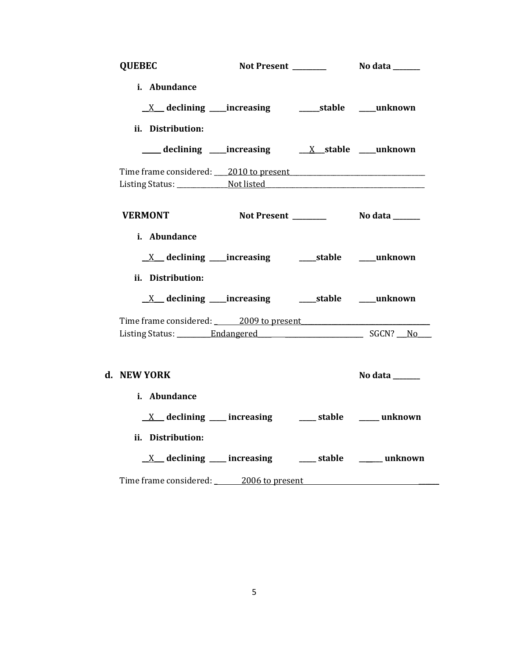| <b>QUEBEC</b>                          |                                                                  |                |
|----------------------------------------|------------------------------------------------------------------|----------------|
| i. Abundance                           |                                                                  |                |
|                                        |                                                                  |                |
| ii. Distribution:                      |                                                                  |                |
|                                        |                                                                  |                |
|                                        |                                                                  |                |
| <b>VERMONT</b>                         |                                                                  |                |
| i. Abundance                           | $X$ declining increasing $X$ increasing $X$ at $X$ declining $X$ |                |
| ii. Distribution:                      |                                                                  |                |
|                                        |                                                                  |                |
| Time frame considered: 2009 to present |                                                                  |                |
|                                        |                                                                  |                |
|                                        |                                                                  |                |
| d. NEW YORK                            |                                                                  | No data ______ |
| i. Abundance                           |                                                                  |                |
|                                        | $X$ declining increasing $X$ stable $X$ unknown                  |                |
| ii. Distribution:                      |                                                                  |                |
|                                        | <u>X</u> declining ___ increasing ___ stable ____ unknown        |                |
| Time frame considered: 2006 to present |                                                                  |                |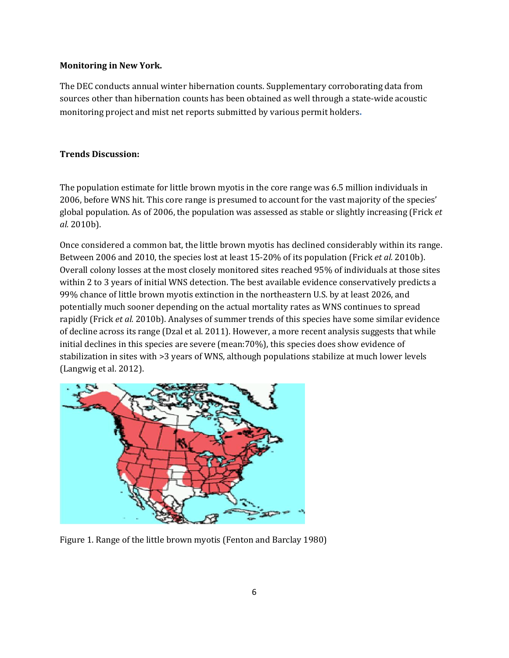## **Monitoring in New York.**

The DEC conducts annual winter hibernation counts. Supplementary corroborating data from sources other than hibernation counts has been obtained as well through a state-wide acoustic monitoring project and mist net reports submitted by various permit holders**.**

## **Trends Discussion:**

The population estimate for little brown myotis in the core range was 6.5 million individuals in 2006, before WNS hit. This core range is presumed to account for the vast majority of the species' global population. As of 2006, the population was assessed as stable or slightly increasing (Frick *et al.* 2010b).

Once considered a common bat, the little brown myotis has declined considerably within its range. Between 2006 and 2010, the species lost at least 15-20% of its population (Frick *et al.* 2010b). Overall colony losses at the most closely monitored sites reached 95% of individuals at those sites within 2 to 3 years of initial WNS detection. The best available evidence conservatively predicts a 99% chance of little brown myotis extinction in the northeastern U.S. by at least 2026, and potentially much sooner depending on the actual mortality rates as WNS continues to spread rapidly (Frick *et al.* 2010b). Analyses of summer trends of this species have some similar evidence of decline across its range (Dzal et al. 2011). However, a more recent analysis suggests that while initial declines in this species are severe (mean:70%), this species does show evidence of stabilization in sites with >3 years of WNS, although populations stabilize at much lower levels (Langwig et al. 2012).



Figure 1. Range of the little brown myotis (Fenton and Barclay 1980)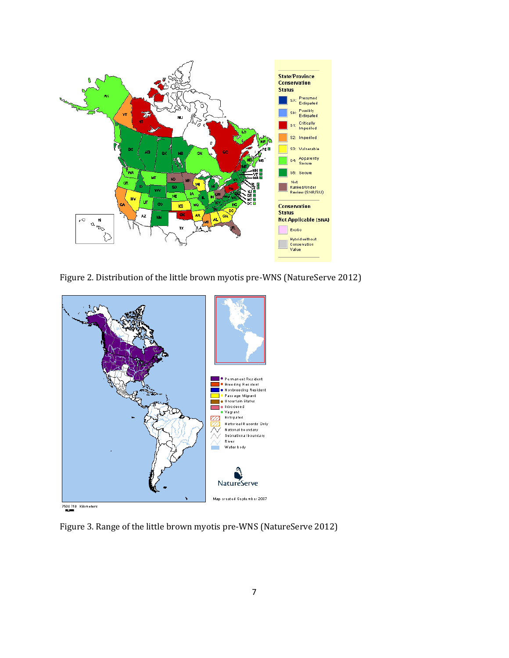

Figure 2. Distribution of the little brown myotis pre-WNS (NatureServe 2012)



Figure 3. Range of the little brown myotis pre-WNS (NatureServe 2012)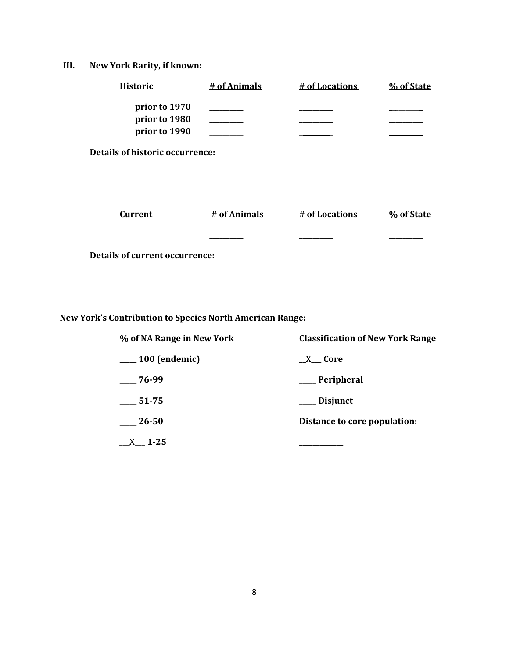**III. New York Rarity, if known:**

| <b>Historic</b>                        | # of Animals | # of Locations | % of State |
|----------------------------------------|--------------|----------------|------------|
| prior to 1970                          |              |                |            |
| prior to 1980                          |              |                |            |
| prior to 1990                          |              |                |            |
| <b>Details of historic occurrence:</b> |              |                |            |
|                                        |              |                |            |
|                                        |              |                |            |
|                                        |              |                |            |
| <b>Current</b>                         | # of Animals | # of Locations | % of State |
|                                        |              |                |            |
|                                        |              |                |            |
| <b>Details of current occurrence:</b>  |              |                |            |

**New York's Contribution to Species North American Range:**

| % of NA Range in New York    | <b>Classification of New York Range</b> |  |  |
|------------------------------|-----------------------------------------|--|--|
| <sub>___</sub> 100 (endemic) | X Core                                  |  |  |
| 76-99                        | __ Peripheral                           |  |  |
| 51-75                        | ___ Disjunct                            |  |  |
| 26-50                        | Distance to core population:            |  |  |
| $1 - 25$                     |                                         |  |  |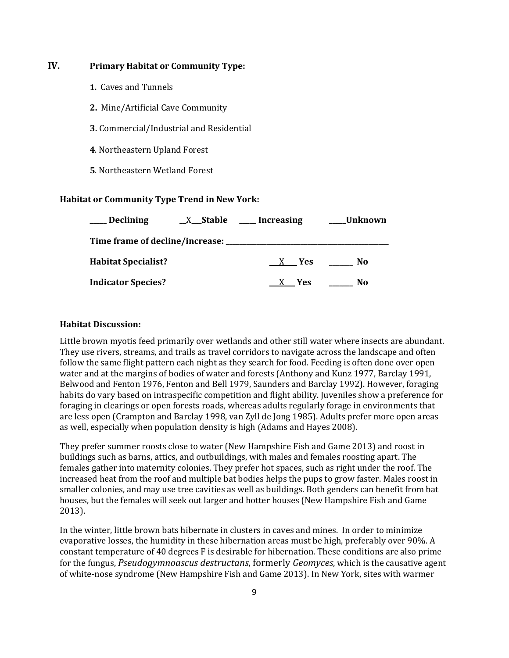## **IV. Primary Habitat or Community Type:**

- **1.** Caves and Tunnels
- **2.** Mine/Artificial Cave Community
- **3.** Commercial/Industrial and Residential
- **4**. Northeastern Upland Forest
- **5**. Northeastern Wetland Forest

### **Habitat or Community Type Trend in New York:**

| <b>Declining</b>           | $X$ Stable ____ Increasing | <b>Unknown</b> |
|----------------------------|----------------------------|----------------|
|                            |                            |                |
| <b>Habitat Specialist?</b> | X Yes                      | No             |
| <b>Indicator Species?</b>  | X Yes                      | No             |

### **Habitat Discussion:**

Little brown myotis feed primarily over wetlands and other still water where insects are abundant. They use rivers, streams, and trails as travel corridors to navigate across the landscape and often follow the same flight pattern each night as they search for food. Feeding is often done over open water and at the margins of bodies of water and forests (Anthony and Kunz 1977, Barclay 1991, Belwood and Fenton 1976, Fenton and Bell 1979, Saunders and Barclay 1992). However, foraging habits do vary based on intraspecific competition and flight ability. Juveniles show a preference for foraging in clearings or open forests roads, whereas adults regularly forage in environments that are less open (Crampton and Barclay 1998, van Zyll de Jong 1985). Adults prefer more open areas as well, especially when population density is high (Adams and Hayes 2008).

They prefer summer roosts close to water (New Hampshire Fish and Game 2013) and roost in buildings such as barns, attics, and outbuildings, with males and females roosting apart. The females gather into maternity colonies. They prefer hot spaces, such as right under the roof. The increased heat from the roof and multiple bat bodies helps the pups to grow faster. Males roost in smaller colonies, and may use tree cavities as well as buildings. Both genders can benefit from bat houses, but the females will seek out larger and hotter houses (New Hampshire Fish and Game 2013).

In the winter, little brown bats hibernate in clusters in caves and mines. In order to minimize evaporative losses, the humidity in these hibernation areas must be high, preferably over 90%. A constant temperature of 40 degrees F is desirable for hibernation. These conditions are also prime for the fungus, *Pseudogymnoascus destructans*, formerly *Geomyces*, which is the causative agent of white-nose syndrome (New Hampshire Fish and Game 2013). In New York, sites with warmer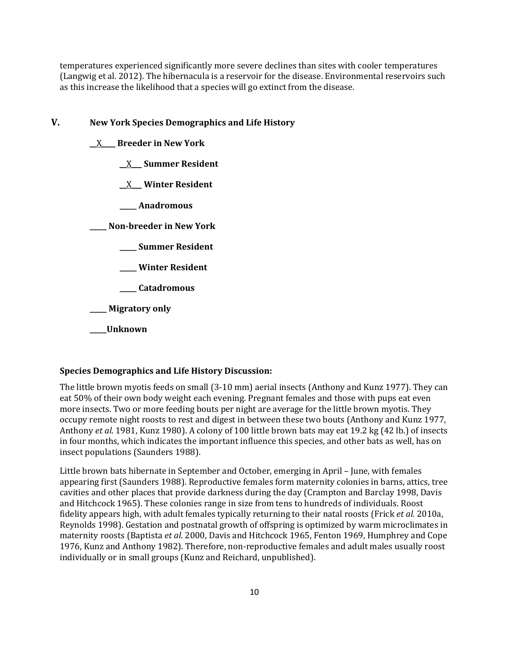temperatures experienced significantly more severe declines than sites with cooler temperatures (Langwig et al. 2012). The hibernacula is a reservoir for the disease. Environmental reservoirs such as this increase the likelihood that a species will go extinct from the disease.

## **V. New York Species Demographics and Life History**

- \_\_X\_\_\_\_ **Breeder in New York**
	- \_\_X\_\_\_ **Summer Resident**
	- \_\_X\_\_\_ **Winter Resident**
	- **\_\_\_\_\_ Anadromous**

**\_\_\_\_\_ Non-breeder in New York**

- **\_\_\_\_\_ Summer Resident**
- **\_\_\_\_\_ Winter Resident**
- **\_\_\_\_\_ Catadromous**

**\_\_\_\_\_ Migratory only**

#### **\_\_\_\_\_Unknown**

## **Species Demographics and Life History Discussion:**

The little brown myotis feeds on small (3-10 mm) aerial insects (Anthony and Kunz 1977). They can eat 50% of their own body weight each evening. Pregnant females and those with pups eat even more insects. Two or more feeding bouts per night are average for the little brown myotis. They occupy remote night roosts to rest and digest in between these two bouts (Anthony and Kunz 1977, Anthony *et al.* 1981, Kunz 1980). A colony of 100 little brown bats may eat 19.2 kg (42 lb.) of insects in four months, which indicates the important influence this species, and other bats as well, has on insect populations (Saunders 1988).

Little brown bats hibernate in September and October, emerging in April – June, with females appearing first (Saunders 1988). Reproductive females form maternity colonies in barns, attics, tree cavities and other places that provide darkness during the day (Crampton and Barclay 1998, Davis and Hitchcock 1965). These colonies range in size from tens to hundreds of individuals. Roost fidelity appears high, with adult females typically returning to their natal roosts (Frick *et al.* 2010a, Reynolds 1998). Gestation and postnatal growth of offspring is optimized by warm microclimates in maternity roosts (Baptista *et al.* 2000, Davis and Hitchcock 1965, Fenton 1969, Humphrey and Cope 1976, Kunz and Anthony 1982). Therefore, non-reproductive females and adult males usually roost individually or in small groups (Kunz and Reichard, unpublished).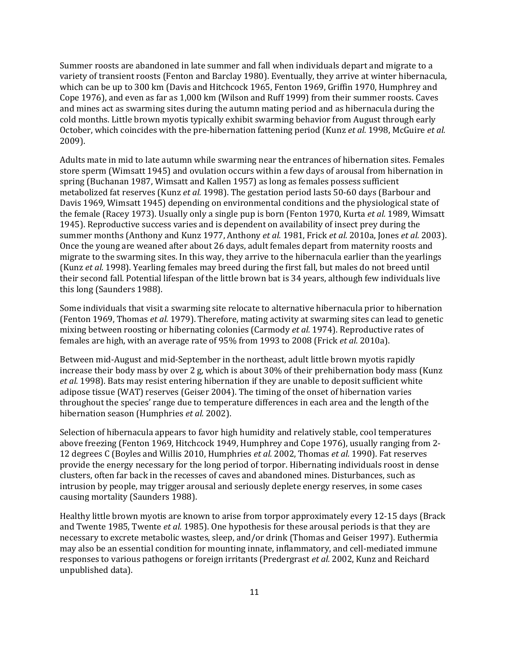Summer roosts are abandoned in late summer and fall when individuals depart and migrate to a variety of transient roosts (Fenton and Barclay 1980). Eventually, they arrive at winter hibernacula, which can be up to 300 km (Davis and Hitchcock 1965, Fenton 1969, Griffin 1970, Humphrey and Cope 1976), and even as far as 1,000 km (Wilson and Ruff 1999) from their summer roosts. Caves and mines act as swarming sites during the autumn mating period and as hibernacula during the cold months. Little brown myotis typically exhibit swarming behavior from August through early October, which coincides with the pre-hibernation fattening period (Kunz *et al.* 1998, McGuire *et al.* 2009).

Adults mate in mid to late autumn while swarming near the entrances of hibernation sites. Females store sperm (Wimsatt 1945) and ovulation occurs within a few days of arousal from hibernation in spring (Buchanan 1987, Wimsatt and Kallen 1957) as long as females possess sufficient metabolized fat reserves (Kunz *et al.* 1998). The gestation period lasts 50-60 days (Barbour and Davis 1969, Wimsatt 1945) depending on environmental conditions and the physiological state of the female (Racey 1973). Usually only a single pup is born (Fenton 1970, Kurta *et al.* 1989, Wimsatt 1945). Reproductive success varies and is dependent on availability of insect prey during the summer months (Anthony and Kunz 1977, Anthony *et al.* 1981, Frick *et al.* 2010a, Jones *et al.* 2003). Once the young are weaned after about 26 days, adult females depart from maternity roosts and migrate to the swarming sites. In this way, they arrive to the hibernacula earlier than the yearlings (Kunz *et al.* 1998). Yearling females may breed during the first fall, but males do not breed until their second fall. Potential lifespan of the little brown bat is 34 years, although few individuals live this long (Saunders 1988).

Some individuals that visit a swarming site relocate to alternative hibernacula prior to hibernation (Fenton 1969, Thomas *et al.* 1979). Therefore, mating activity at swarming sites can lead to genetic mixing between roosting or hibernating colonies (Carmody *et al.* 1974). Reproductive rates of females are high, with an average rate of 95% from 1993 to 2008 (Frick *et al.* 2010a).

Between mid-August and mid-September in the northeast, adult little brown myotis rapidly increase their body mass by over 2 g, which is about 30% of their prehibernation body mass (Kunz *et al.* 1998). Bats may resist entering hibernation if they are unable to deposit sufficient white adipose tissue (WAT) reserves (Geiser 2004). The timing of the onset of hibernation varies throughout the species' range due to temperature differences in each area and the length of the hibernation season (Humphries *et al.* 2002).

Selection of hibernacula appears to favor high humidity and relatively stable, cool temperatures above freezing (Fenton 1969, Hitchcock 1949, Humphrey and Cope 1976), usually ranging from 2- 12 degrees C (Boyles and Willis 2010, Humphries *et al.* 2002, Thomas *et al.* 1990). Fat reserves provide the energy necessary for the long period of torpor. Hibernating individuals roost in dense clusters, often far back in the recesses of caves and abandoned mines. Disturbances, such as intrusion by people, may trigger arousal and seriously deplete energy reserves, in some cases causing mortality (Saunders 1988).

Healthy little brown myotis are known to arise from torpor approximately every 12-15 days (Brack and Twente 1985, Twente *et al.* 1985). One hypothesis for these arousal periods is that they are necessary to excrete metabolic wastes, sleep, and/or drink (Thomas and Geiser 1997). Euthermia may also be an essential condition for mounting innate, inflammatory, and cell-mediated immune responses to various pathogens or foreign irritants (Predergrast *et al.* 2002, Kunz and Reichard unpublished data).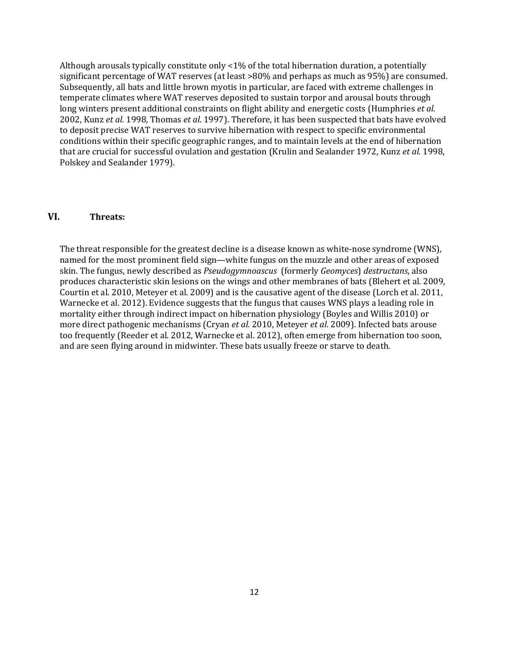Although arousals typically constitute only  $\langle 1\%$  of the total hibernation duration, a potentially significant percentage of WAT reserves (at least >80% and perhaps as much as 95%) are consumed. Subsequently, all bats and little brown myotis in particular, are faced with extreme challenges in temperate climates where WAT reserves deposited to sustain torpor and arousal bouts through long winters present additional constraints on flight ability and energetic costs (Humphries *et al.* 2002, Kunz *et al.* 1998, Thomas *et al.* 1997). Therefore, it has been suspected that bats have evolved to deposit precise WAT reserves to survive hibernation with respect to specific environmental conditions within their specific geographic ranges, and to maintain levels at the end of hibernation that are crucial for successful ovulation and gestation (Krulin and Sealander 1972, Kunz *et al.* 1998, Polskey and Sealander 1979).

## **VI. Threats:**

The threat responsible for the greatest decline is a disease known as white-nose syndrome (WNS), named for the most prominent field sign—white fungus on the muzzle and other areas of exposed skin. The fungus, newly described as *Pseudogymnoascus* (formerly *Geomyces*) *destructans*, also produces characteristic skin lesions on the wings and other membranes of bats (Blehert et al. 2009, Courtin et al. 2010, Meteyer et al. 2009) and is the causative agent of the disease (Lorch et al. 2011, Warnecke et al. 2012). Evidence suggests that the fungus that causes WNS plays a leading role in mortality either through indirect impact on hibernation physiology (Boyles and Willis 2010) or more direct pathogenic mechanisms (Cryan *et al.* 2010, Meteyer *et al.* 2009). Infected bats arouse too frequently (Reeder et al. 2012, Warnecke et al. 2012), often emerge from hibernation too soon, and are seen flying around in midwinter. These bats usually freeze or starve to death.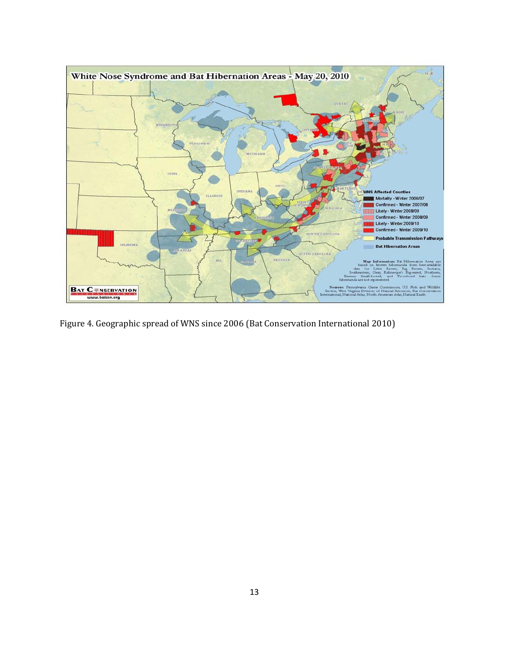

Figure 4. Geographic spread of WNS since 2006 (Bat Conservation International 2010)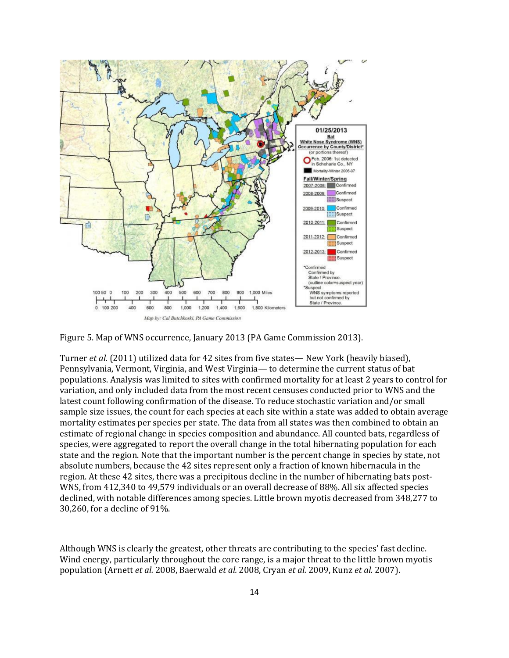

Figure 5. Map of WNS occurrence, January 2013 (PA Game Commission 2013).

Turner *et al.* (2011) utilized data for 42 sites from five states— New York (heavily biased), Pennsylvania, Vermont, Virginia, and West Virginia— to determine the current status of bat populations. Analysis was limited to sites with confirmed mortality for at least 2 years to control for variation, and only included data from the most recent censuses conducted prior to WNS and the latest count following confirmation of the disease. To reduce stochastic variation and/or small sample size issues, the count for each species at each site within a state was added to obtain average mortality estimates per species per state. The data from all states was then combined to obtain an estimate of regional change in species composition and abundance. All counted bats, regardless of species, were aggregated to report the overall change in the total hibernating population for each state and the region. Note that the important number is the percent change in species by state, not absolute numbers, because the 42 sites represent only a fraction of known hibernacula in the region. At these 42 sites, there was a precipitous decline in the number of hibernating bats post-WNS, from 412,340 to 49,579 individuals or an overall decrease of 88%. All six affected species declined, with notable differences among species. Little brown myotis decreased from 348,277 to 30,260, for a decline of 91%.

Although WNS is clearly the greatest, other threats are contributing to the species' fast decline. Wind energy, particularly throughout the core range, is a major threat to the little brown myotis population (Arnett *et al.* 2008, Baerwald *et al.* 2008, Cryan *et al.* 2009, Kunz *et al.* 2007).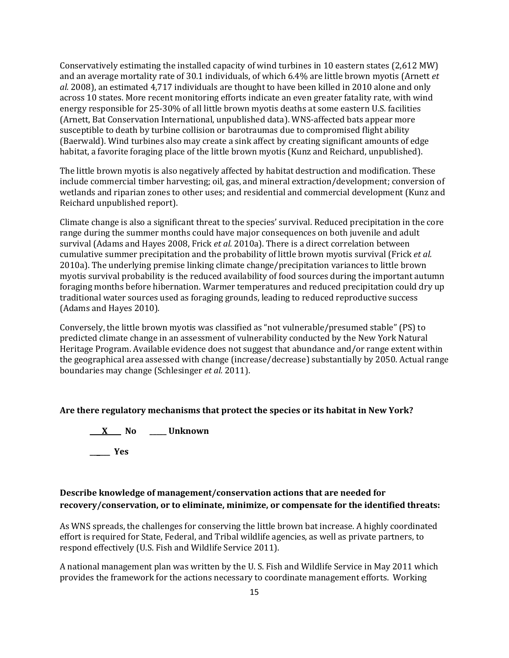Conservatively estimating the installed capacity of wind turbines in 10 eastern states (2,612 MW) and an average mortality rate of 30.1 individuals, of which 6.4% are little brown myotis (Arnett *et al.* 2008), an estimated 4,717 individuals are thought to have been killed in 2010 alone and only across 10 states. More recent monitoring efforts indicate an even greater fatality rate, with wind energy responsible for 25-30% of all little brown myotis deaths at some eastern U.S. facilities (Arnett, Bat Conservation International, unpublished data). WNS-affected bats appear more susceptible to death by turbine collision or barotraumas due to compromised flight ability (Baerwald). Wind turbines also may create a sink affect by creating significant amounts of edge habitat, a favorite foraging place of the little brown myotis (Kunz and Reichard, unpublished).

The little brown myotis is also negatively affected by habitat destruction and modification. These include commercial timber harvesting; oil, gas, and mineral extraction/development; conversion of wetlands and riparian zones to other uses; and residential and commercial development (Kunz and Reichard unpublished report).

Climate change is also a significant threat to the species' survival. Reduced precipitation in the core range during the summer months could have major consequences on both juvenile and adult survival (Adams and Hayes 2008, Frick *et al.* 2010a). There is a direct correlation between cumulative summer precipitation and the probability of little brown myotis survival (Frick *et al.* 2010a). The underlying premise linking climate change/precipitation variances to little brown myotis survival probability is the reduced availability of food sources during the important autumn foraging months before hibernation. Warmer temperatures and reduced precipitation could dry up traditional water sources used as foraging grounds, leading to reduced reproductive success (Adams and Hayes 2010).

Conversely, the little brown myotis was classified as "not vulnerable/presumed stable" (PS) to predicted climate change in an assessment of vulnerability conducted by the New York Natural Heritage Program. Available evidence does not suggest that abundance and/or range extent within the geographical area assessed with change (increase/decrease) substantially by 2050. Actual range boundaries may change (Schlesinger *et al.* 2011).

#### **Are there regulatory mechanisms that protect the species or its habitat in New York?**

**\_\_\_ X\_\_\_\_ No \_\_\_\_\_ Unknown \_\_\_\_\_\_ Yes** 

## **Describe knowledge of management/conservation actions that are needed for recovery/conservation, or to eliminate, minimize, or compensate for the identified threats:**

As WNS spreads, the challenges for conserving the little brown bat increase. A highly coordinated effort is required for State, Federal, and Tribal wildlife agencies, as well as private partners, to respond effectively (U.S. Fish and Wildlife Service 2011).

A national management plan was written by the U. S. Fish and Wildlife Service in May 2011 which provides the framework for the actions necessary to coordinate management efforts. Working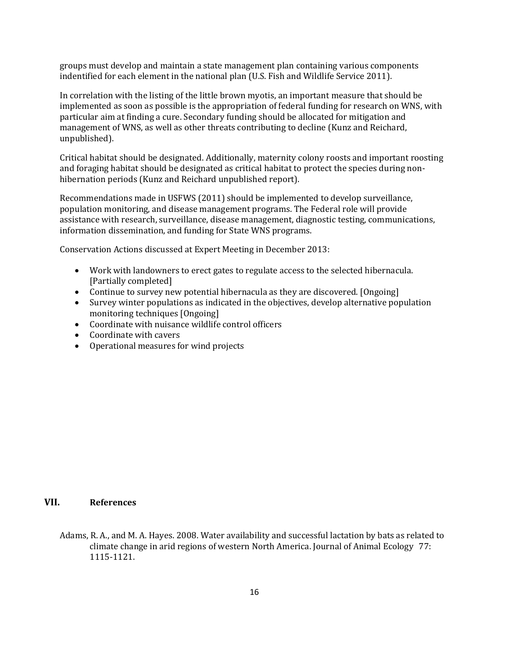groups must develop and maintain a state management plan containing various components indentified for each element in the national plan (U.S. Fish and Wildlife Service 2011).

In correlation with the listing of the little brown myotis, an important measure that should be implemented as soon as possible is the appropriation of federal funding for research on WNS, with particular aim at finding a cure. Secondary funding should be allocated for mitigation and management of WNS, as well as other threats contributing to decline (Kunz and Reichard, unpublished).

Critical habitat should be designated. Additionally, maternity colony roosts and important roosting and foraging habitat should be designated as critical habitat to protect the species during nonhibernation periods (Kunz and Reichard unpublished report).

Recommendations made in USFWS (2011) should be implemented to develop surveillance, population monitoring, and disease management programs. The Federal role will provide assistance with research, surveillance, disease management, diagnostic testing, communications, information dissemination, and funding for State WNS programs.

Conservation Actions discussed at Expert Meeting in December 2013:

- Work with landowners to erect gates to regulate access to the selected hibernacula. [Partially completed]
- Continue to survey new potential hibernacula as they are discovered. [Ongoing]
- Survey winter populations as indicated in the objectives, develop alternative population monitoring techniques [Ongoing]
- Coordinate with nuisance wildlife control officers
- Coordinate with cavers
- Operational measures for wind projects

### **VII. References**

Adams, R. A., and M. A. Hayes. 2008. Water availability and successful lactation by bats as related to climate change in arid regions of western North America. Journal of Animal Ecology 77: 1115-1121.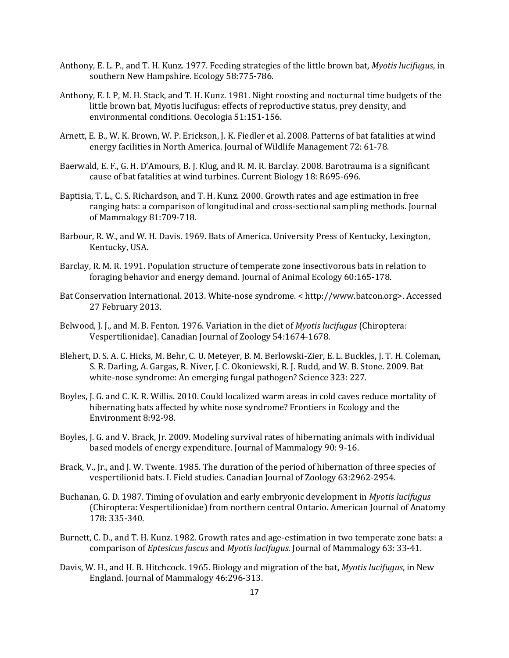- Anthony, E. L. P., and T. H. Kunz. 1977. Feeding strategies of the little brown bat, *Myotis lucifugus*, in southern New Hampshire. Ecology 58:775-786.
- Anthony, E. I. P, M. H. Stack, and T. H. Kunz. 1981. Night roosting and nocturnal time budgets of the little brown bat, Myotis lucifugus: effects of reproductive status, prey density, and environmental conditions. Oecologia 51:151-156.
- Arnett, E. B., W. K. Brown, W. P. Erickson, J. K. Fiedler et al. 2008. Patterns of bat fatalities at wind energy facilities in North America. Journal of Wildlife Management 72: 61-78.
- Baerwald, E. F., G. H. D'Amours, B. J. Klug, and R. M. R. Barclay. 2008. Barotrauma is a significant cause of bat fatalities at wind turbines. Current Biology 18: R695-696.
- Baptisia, T. L., C. S. Richardson, and T. H. Kunz. 2000. Growth rates and age estimation in free ranging bats: a comparison of longitudinal and cross-sectional sampling methods. Journal of Mammalogy 81:709-718.
- Barbour, R. W., and W. H. Davis. 1969. Bats of America. University Press of Kentucky, Lexington, Kentucky, USA.
- Barclay, R. M. R. 1991. Population structure of temperate zone insectivorous bats in relation to foraging behavior and energy demand. Journal of Animal Ecology 60:165-178.
- Bat Conservation International. 2013. White-nose syndrome. < http://www.batcon.org>. Accessed 27 February 2013.
- Belwood, J. J., and M. B. Fenton. 1976. Variation in the diet of *Myotis lucifugus* (Chiroptera: Vespertilionidae). Canadian Journal of Zoology 54:1674-1678.
- Blehert, D. S. A. C. Hicks, M. Behr, C. U. Meteyer, B. M. Berlowski-Zier, E. L. Buckles, J. T. H. Coleman, S. R. Darling, A. Gargas, R. Niver, J. C. Okoniewski, R. J. Rudd, and W. B. Stone. 2009. Bat white-nose syndrome: An emerging fungal pathogen? Science 323: 227.
- Boyles, J. G. and C. K. R. Willis. 2010. Could localized warm areas in cold caves reduce mortality of hibernating bats affected by white nose syndrome? Frontiers in Ecology and the Environment 8:92-98.
- Boyles, J. G. and V. Brack, Jr. 2009. Modeling survival rates of hibernating animals with individual based models of energy expenditure. Journal of Mammalogy 90: 9-16.
- Brack, V., Jr., and J. W. Twente. 1985. The duration of the period of hibernation of three species of vespertilionid bats. I. Field studies. Canadian Journal of Zoology 63:2962-2954.
- Buchanan, G. D. 1987. Timing of ovulation and early embryonic development in *Myotis lucifugus* (Chiroptera: Vespertilionidae) from northern central Ontario. American Journal of Anatomy 178: 335-340.
- Burnett, C. D., and T. H. Kunz. 1982. Growth rates and age-estimation in two temperate zone bats: a comparison of *Eptesicus fuscus* and *Myotis lucifugus.* Journal of Mammalogy 63: 33-41.
- Davis, W. H., and H. B. Hitchcock. 1965. Biology and migration of the bat, *Myotis lucifugus*, in New England. Journal of Mammalogy 46:296-313.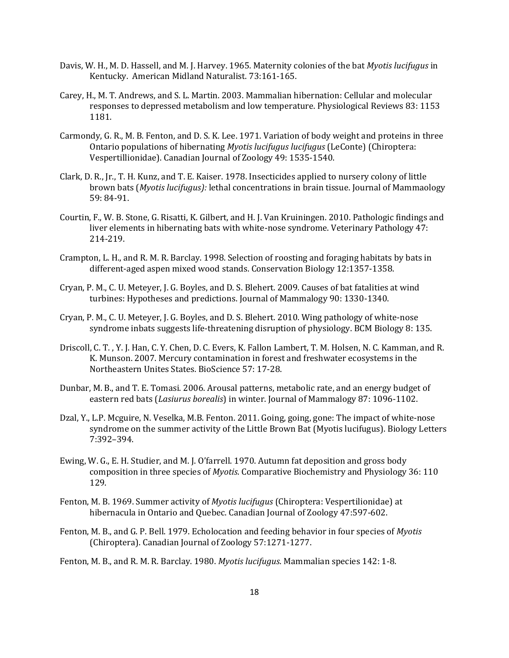- Davis, W. H., M. D. Hassell, and M. J. Harvey. 1965. Maternity colonies of the bat *Myotis lucifugus* in Kentucky. American Midland Naturalist. 73:161-165.
- Carey, H., M. T. Andrews, and S. L. Martin. 2003. Mammalian hibernation: Cellular and molecular responses to depressed metabolism and low temperature. Physiological Reviews 83: 1153 1181.
- Carmondy, G. R., M. B. Fenton, and D. S. K. Lee. 1971. Variation of body weight and proteins in three Ontario populations of hibernating *Myotis lucifugus lucifugus* (LeConte) (Chiroptera: Vespertillionidae). Canadian Journal of Zoology 49: 1535-1540.
- Clark, D. R., Jr., T. H. Kunz, and T. E. Kaiser. 1978. Insecticides applied to nursery colony of little brown bats (*Myotis lucifugus):* lethal concentrations in brain tissue. Journal of Mammaology 59: 84-91.
- Courtin, F., W. B. Stone, G. Risatti, K. Gilbert, and H. J. Van Kruiningen. 2010. Pathologic findings and liver elements in hibernating bats with white-nose syndrome. Veterinary Pathology 47: 214-219.
- Crampton, L. H., and R. M. R. Barclay. 1998. Selection of roosting and foraging habitats by bats in different-aged aspen mixed wood stands. Conservation Biology 12:1357-1358.
- Cryan, P. M., C. U. Meteyer, J. G. Boyles, and D. S. Blehert. 2009. Causes of bat fatalities at wind turbines: Hypotheses and predictions. Journal of Mammalogy 90: 1330-1340.
- Cryan, P. M., C. U. Meteyer, J. G. Boyles, and D. S. Blehert. 2010. Wing pathology of white-nose syndrome inbats suggests life-threatening disruption of physiology. BCM Biology 8: 135.
- Driscoll, C. T. , Y. J. Han, C. Y. Chen, D. C. Evers, K. Fallon Lambert, T. M. Holsen, N. C. Kamman, and R. K. Munson. 2007. Mercury contamination in forest and freshwater ecosystems in the Northeastern Unites States. BioScience 57: 17-28.
- Dunbar, M. B., and T. E. Tomasi. 2006. Arousal patterns, metabolic rate, and an energy budget of eastern red bats (*Lasiurus borealis*) in winter. Journal of Mammalogy 87: 1096-1102.
- Dzal, Y., L.P. Mcguire, N. Veselka, M.B. Fenton. 2011. Going, going, gone: The impact of white-nose syndrome on the summer activity of the Little Brown Bat (Myotis lucifugus). Biology Letters 7:392–394.
- Ewing, W. G., E. H. Studier, and M. J. O'farrell. 1970. Autumn fat deposition and gross body composition in three species of *Myotis*. Comparative Biochemistry and Physiology 36: 110 129.
- Fenton, M. B. 1969. Summer activity of *Myotis lucifugus* (Chiroptera: Vespertilionidae) at hibernacula in Ontario and Quebec. Canadian Journal of Zoology 47:597-602.
- Fenton, M. B., and G. P. Bell. 1979. Echolocation and feeding behavior in four species of *Myotis* (Chiroptera). Canadian Journal of Zoology 57:1271-1277.
- Fenton, M. B., and R. M. R. Barclay. 1980. *Myotis lucifugus*. Mammalian species 142: 1-8.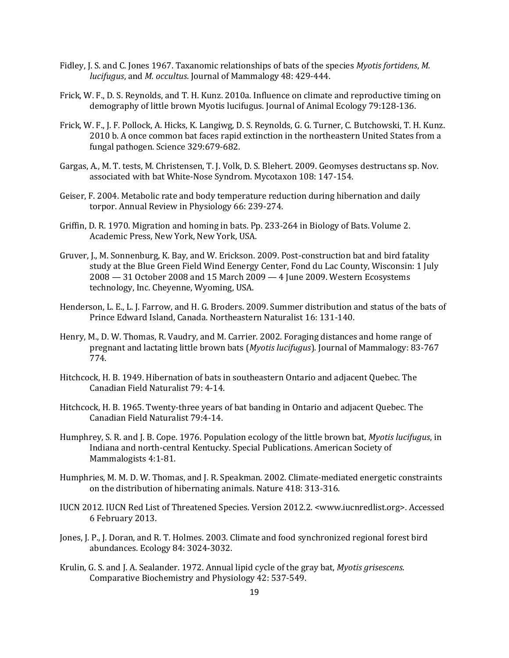- Fidley, J. S. and C. Jones 1967. Taxanomic relationships of bats of the species *Myotis fortidens*, *M. lucifugus*, and *M. occultus*. Journal of Mammalogy 48: 429-444.
- Frick, W. F., D. S. Reynolds, and T. H. Kunz. 2010a. Influence on climate and reproductive timing on demography of little brown Myotis lucifugus. Journal of Animal Ecology 79:128-136.
- Frick, W. F., J. F. Pollock, A. Hicks, K. Langiwg, D. S. Reynolds, G. G. Turner, C. Butchowski, T. H. Kunz. 2010 b. A once common bat faces rapid extinction in the northeastern United States from a fungal pathogen. Science 329:679-682.
- Gargas, A., M. T. tests, M. Christensen, T. J. Volk, D. S. Blehert. 2009. Geomyses destructans sp. Nov. associated with bat White-Nose Syndrom. Mycotaxon 108: 147-154.
- Geiser, F. 2004. Metabolic rate and body temperature reduction during hibernation and daily torpor. Annual Review in Physiology 66: 239-274.
- Griffin, D. R. 1970. Migration and homing in bats. Pp. 233-264 in Biology of Bats. Volume 2. Academic Press, New York, New York, USA.
- Gruver, J., M. Sonnenburg, K. Bay, and W. Erickson. 2009. Post-construction bat and bird fatality study at the Blue Green Field Wind Eenergy Center, Fond du Lac County, Wisconsin: 1 July 2008 — 31 October 2008 and 15 March 2009 — 4 June 2009. Western Ecosystems technology, Inc. Cheyenne, Wyoming, USA.
- Henderson, L. E., L. J. Farrow, and H. G. Broders. 2009. Summer distribution and status of the bats of Prince Edward Island, Canada. Northeastern Naturalist 16: 131-140.
- Henry, M., D. W. Thomas, R. Vaudry, and M. Carrier. 2002. Foraging distances and home range of pregnant and lactating little brown bats (*Myotis lucifugus*). Journal of Mammalogy: 83-767 774.
- Hitchcock, H. B. 1949. Hibernation of bats in southeastern Ontario and adjacent Quebec. The Canadian Field Naturalist 79: 4-14.
- Hitchcock, H. B. 1965. Twenty-three years of bat banding in Ontario and adjacent Quebec. The Canadian Field Naturalist 79:4-14.
- Humphrey, S. R. and J. B. Cope. 1976. Population ecology of the little brown bat, *Myotis lucifugus*, in Indiana and north-central Kentucky. Special Publications. American Society of Mammalogists 4:1-81.
- Humphries, M. M. D. W. Thomas, and J. R. Speakman. 2002. Climate-mediated energetic constraints on the distribution of hibernating animals. Nature 418: 313-316.
- IUCN 2012. IUCN Red List of Threatened Species. Version 2012.2. <www.iucnredlist.org>. Accessed 6 February 2013.
- Jones, J. P., J. Doran, and R. T. Holmes. 2003. Climate and food synchronized regional forest bird abundances. Ecology 84: 3024-3032.
- Krulin, G. S. and J. A. Sealander. 1972. Annual lipid cycle of the gray bat, *Myotis grisescens*. Comparative Biochemistry and Physiology 42: 537-549.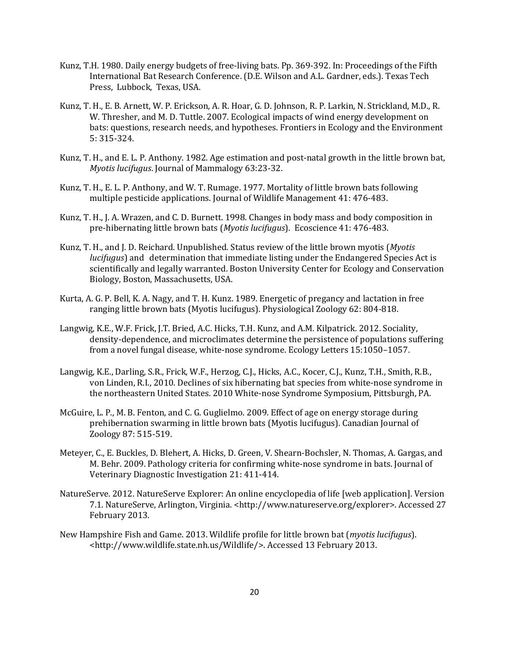- Kunz, T.H. 1980. Daily energy budgets of free-living bats. Pp. 369-392. In: Proceedings of the Fifth International Bat Research Conference. (D.E. Wilson and A.L. Gardner, eds.). Texas Tech Press, Lubbock, Texas, USA.
- Kunz, T. H., E. B. Arnett, W. P. Erickson, A. R. Hoar, G. D. Johnson, R. P. Larkin, N. Strickland, M.D., R. W. Thresher, and M. D. Tuttle. 2007. Ecological impacts of wind energy development on bats: questions, research needs, and hypotheses. Frontiers in Ecology and the Environment 5: 315-324.
- Kunz, T. H., and E. L. P. Anthony. 1982. Age estimation and post-natal growth in the little brown bat, *Myotis lucifugus*. Journal of Mammalogy 63:23-32.
- Kunz, T. H., E. L. P. Anthony, and W. T. Rumage. 1977. Mortality of little brown bats following multiple pesticide applications. Journal of Wildlife Management 41: 476-483.
- Kunz, T. H., J. A. Wrazen, and C. D. Burnett. 1998. Changes in body mass and body composition in pre-hibernating little brown bats (*Myotis lucifugus*). Ecoscience 41: 476-483.
- Kunz, T. H., and J. D. Reichard. Unpublished. Status review of the little brown myotis (*Myotis lucifugus*) and determination that immediate listing under the Endangered Species Act is scientifically and legally warranted. Boston University Center for Ecology and Conservation Biology, Boston, Massachusetts, USA.
- Kurta, A. G. P. Bell, K. A. Nagy, and T. H. Kunz. 1989. Energetic of pregancy and lactation in free ranging little brown bats (Myotis lucifugus). Physiological Zoology 62: 804-818.
- Langwig, K.E., W.F. Frick, J.T. Bried, A.C. Hicks, T.H. Kunz, and A.M. Kilpatrick. 2012. Sociality, density-dependence, and microclimates determine the persistence of populations suffering from a novel fungal disease, white-nose syndrome. Ecology Letters 15:1050–1057.
- Langwig, K.E., Darling, S.R., Frick, W.F., Herzog, C.J., Hicks, A.C., Kocer, C.J., Kunz, T.H., Smith, R.B., von Linden, R.I., 2010. Declines of six hibernating bat species from white-nose syndrome in the northeastern United States. 2010 White-nose Syndrome Symposium, Pittsburgh, PA.
- McGuire, L. P., M. B. Fenton, and C. G. Guglielmo. 2009. Effect of age on energy storage during prehibernation swarming in little brown bats (Myotis lucifugus). Canadian Journal of Zoology 87: 515-519.
- Meteyer, C., E. Buckles, D. Blehert, A. Hicks, D. Green, V. Shearn-Bochsler, N. Thomas, A. Gargas, and M. Behr. 2009. Pathology criteria for confirming white-nose syndrome in bats. Journal of Veterinary Diagnostic Investigation 21: 411-414.
- NatureServe. 2012. NatureServe Explorer: An online encyclopedia of life [web application]. Version 7.1. NatureServe, Arlington, Virginia. <http://www.natureserve.org/explorer>. Accessed 27 February 2013.
- New Hampshire Fish and Game. 2013. Wildlife profile for little brown bat (*myotis lucifugus*). <http://www.wildlife.state.nh.us/Wildlife/>. Accessed 13 February 2013.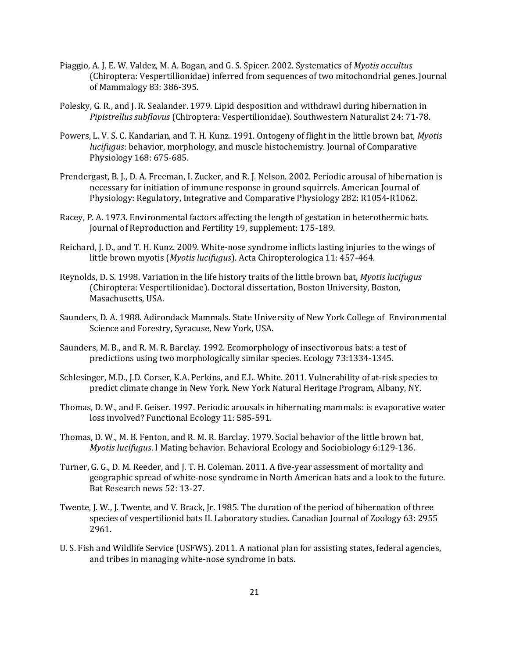- Piaggio, A. J. E. W. Valdez, M. A. Bogan, and G. S. Spicer. 2002. Systematics of *Myotis occultus* (Chiroptera: Vespertillionidae) inferred from sequences of two mitochondrial genes. Journal of Mammalogy 83: 386-395.
- Polesky, G. R., and J. R. Sealander. 1979. Lipid desposition and withdrawl during hibernation in *Pipistrellus subflavus* (Chiroptera: Vespertilionidae). Southwestern Naturalist 24: 71-78.
- Powers, L. V. S. C. Kandarian, and T. H. Kunz. 1991. Ontogeny of flight in the little brown bat, *Myotis lucifugus*: behavior, morphology, and muscle histochemistry. Journal of Comparative Physiology 168: 675-685.
- Prendergast, B. J., D. A. Freeman, I. Zucker, and R. J. Nelson. 2002. Periodic arousal of hibernation is necessary for initiation of immune response in ground squirrels. American Journal of Physiology: Regulatory, Integrative and Comparative Physiology 282: R1054-R1062.
- Racey, P. A. 1973. Environmental factors affecting the length of gestation in heterothermic bats. Journal of Reproduction and Fertility 19, supplement: 175-189.
- Reichard, J. D., and T. H. Kunz. 2009. White-nose syndrome inflicts lasting injuries to the wings of little brown myotis (*Myotis lucifugus*). Acta Chiropterologica 11: 457-464.
- Reynolds, D. S. 1998. Variation in the life history traits of the little brown bat, *Myotis lucifugus* (Chiroptera: Vespertilionidae). Doctoral dissertation, Boston University, Boston, Masachusetts, USA.
- Saunders, D. A. 1988. Adirondack Mammals. State University of New York College of Environmental Science and Forestry, Syracuse, New York, USA.
- Saunders, M. B., and R. M. R. Barclay. 1992. Ecomorphology of insectivorous bats: a test of predictions using two morphologically similar species. Ecology 73:1334-1345.
- Schlesinger, M.D., J.D. Corser, K.A. Perkins, and E.L. White. 2011. Vulnerability of at-risk species to predict climate change in New York. New York Natural Heritage Program, Albany, NY.
- Thomas, D. W., and F. Geiser. 1997. Periodic arousals in hibernating mammals: is evaporative water loss involved? Functional Ecology 11: 585-591.
- Thomas, D. W., M. B. Fenton, and R. M. R. Barclay. 1979. Social behavior of the little brown bat, *Myotis lucifugus*. I Mating behavior. Behavioral Ecology and Sociobiology 6:129-136.
- Turner, G. G., D. M. Reeder, and J. T. H. Coleman. 2011. A five-year assessment of mortality and geographic spread of white-nose syndrome in North American bats and a look to the future. Bat Research news 52: 13-27.
- Twente, J. W., J. Twente, and V. Brack, Jr. 1985. The duration of the period of hibernation of three species of vespertilionid bats II. Laboratory studies. Canadian Journal of Zoology 63: 2955 2961.
- U. S. Fish and Wildlife Service (USFWS). 2011. A national plan for assisting states, federal agencies, and tribes in managing white-nose syndrome in bats.